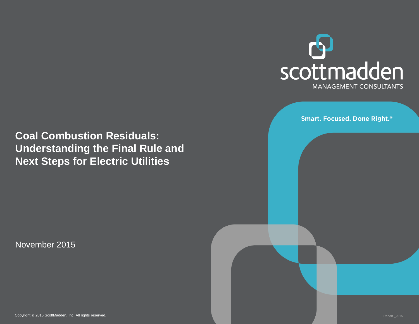

**Smart. Focused. Done Right.**®

**Coal Combustion Residuals: Understanding the Final Rule and Next Steps for Electric Utilities**

November 2015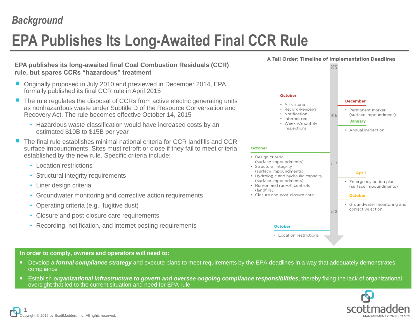### *Background*

# **EPA Publishes Its Long-Awaited Final CCR Rule**

### **EPA publishes its long-awaited final Coal Combustion Residuals (CCR) rule, but spares CCRs "hazardous" treatment**

- Originally proposed in July 2010 and previewed in December 2014, EPA formally published its final CCR rule in April 2015
- The rule regulates the disposal of CCRs from active electric generating units as nonhazardous waste under Subtitle D of the Resource Conversation and Recovery Act. The rule becomes effective October 14, 2015
	- Hazardous waste classification would have increased costs by an estimated \$10B to \$15B per year
- The final rule establishes minimal national criteria for CCR landfills and CCR surface impoundments. Sites must retrofit or close if they fail to meet criteria established by the new rule. Specific criteria include:
	- Location restrictions
	- Structural integrity requirements
	- Liner design criteria
	- Groundwater monitoring and corrective action requirements
	- Operating criteria (e.g., fugitive dust)
	- Closure and post-closure care requirements
	- Recording, notification, and internet posting requirements



#### **In order to comply, owners and operators will need to:**

- Develop a *formal compliance strategy* and execute plans to meet requirements by the EPA deadlines in a way that adequately demonstrates compliance
- Establish *organizational infrastructure to govern and oversee ongoing compliance responsibilities*, thereby fixing the lack of organizational oversight that led to the current situation and need for EPA rule

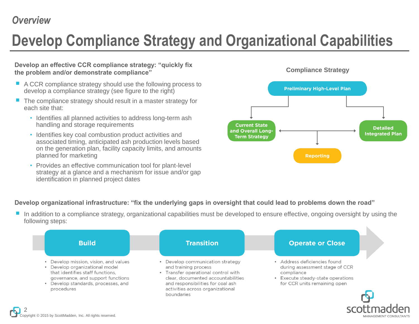# **Develop Compliance Strategy and Organizational Capabilities**

**Develop an effective CCR compliance strategy: "quickly fix the problem and/or demonstrate compliance"**

- A CCR compliance strategy should use the following process to develop a compliance strategy (see figure to the right)
- The compliance strategy should result in a master strategy for each site that:
	- Identifies all planned activities to address long-term ash handling and storage requirements
	- Identifies key coal combustion product activities and associated timing, anticipated ash production levels based on the generation plan, facility capacity limits, and amounts planned for marketing
	- Provides an effective communication tool for plant-level strategy at a glance and a mechanism for issue and/or gap identification in planned project dates



### **Develop organizational infrastructure: "fix the underlying gaps in oversight that could lead to problems down the road"**

■ In addition to a compliance strategy, organizational capabilities must be developed to ensure effective, ongoing oversight by using the following steps:

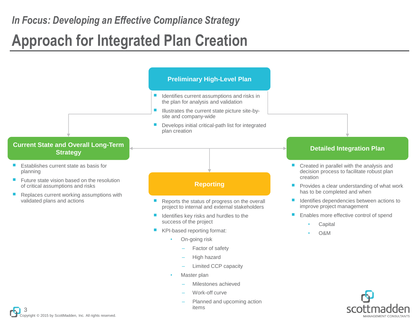# **Approach for Integrated Plan Creation**

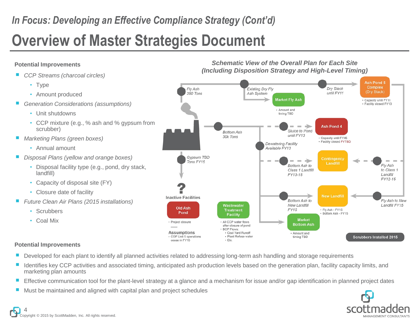## *In Focus: Developing an Effective Compliance Strategy (Cont'd)*

# **Overview of Master Strategies Document**

### **Potential Improvements**

- *CCP Streams (charcoal circles)*
	- Type
	- Amount produced
- *Generation Considerations (assumptions)*
	- Unit shutdowns
	- CCP mixture (e.g., % ash and % gypsum from scrubber)
- *Marketing Plans (green boxes)*
	- Annual amount
- *Disposal Plans (yellow and orange boxes)*
	- Disposal facility type (e.g., pond, dry stack, landfill)
	- Capacity of disposal site (FY)
	- Closure date of facility
- *Future Clean Air Plans (2015 installations)*
	- Scrubbers
	- Coal Mix

#### **Potential Improvements**

- Developed for each plant to identify all planned activities related to addressing long-term ash handling and storage requirements
- Identifies key CCP activities and associated timing, anticipated ash production levels based on the generation plan, facility capacity limits, and marketing plan amounts
- Effective communication tool for the plant-level strategy at a glance and a mechanism for issue and/or gap identification in planned project dates
- Must be maintained and aligned with capital plan and project schedules





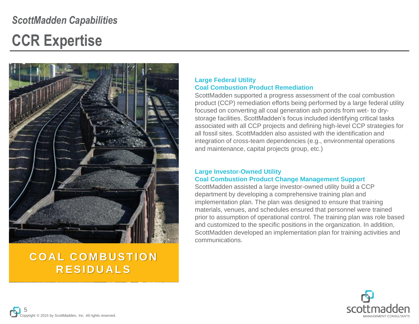## *ScottMadden Capabilities*

## **CCR Expertise**



### **C O A L C O M B U S T I O N R E S I D U A L S**

### **Large Federal Utility Coal Combustion Product Remediation**

ScottMadden supported a progress assessment of the coal combustion product (CCP) remediation efforts being performed by a large federal utility focused on converting all coal generation ash ponds from wet- to drystorage facilities. ScottMadden's focus included identifying critical tasks associated with all CCP projects and defining high-level CCP strategies for all fossil sites. ScottMadden also assisted with the identification and integration of cross-team dependencies (e.g., environmental operations and maintenance, capital projects group, etc.)

#### **Large Investor-Owned Utility Coal Combustion Product Change Management Support**

ScottMadden assisted a large investor-owned utility build a CCP department by developing a comprehensive training plan and implementation plan. The plan was designed to ensure that training materials, venues, and schedules ensured that personnel were trained prior to assumption of operational control. The training plan was role based and customized to the specific positions in the organization. In addition, ScottMadden developed an implementation plan for training activities and communications.